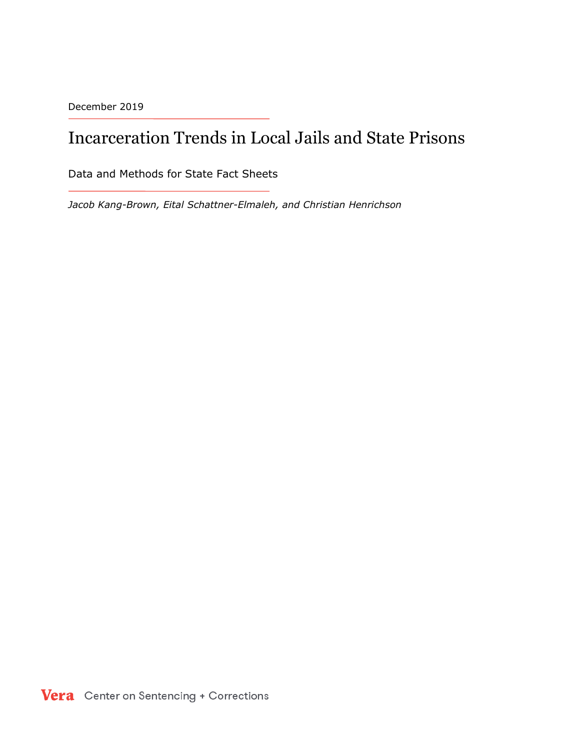December 2019

# Incarceration Trends in Local Jails and State Prisons

Data and Methods for State Fact Sheets

*Jacob Kang-Brown, Eital Schattner-Elmaleh, and Christian Henrichson*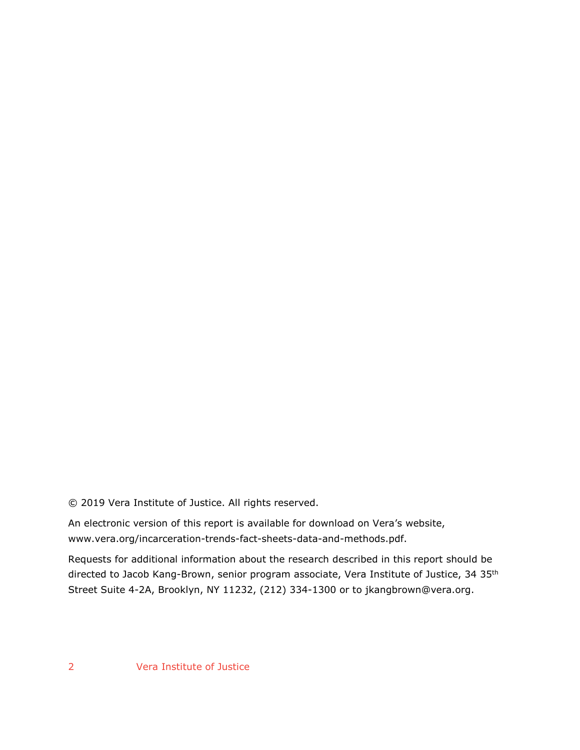© 2019 Vera Institute of Justice. All rights reserved.

An electronic version of this report is available for download on Vera's website, www.vera.org/incarceration-trends-fact-sheets-data-and-methods.pdf.

Requests for additional information about the research described in this report should be directed to Jacob Kang-Brown, senior program associate, Vera Institute of Justice, 34 35th Street Suite 4-2A, Brooklyn, NY 11232, (212) 334-1300 or to jkangbrown@vera.org.

2 Vera Institute of Justice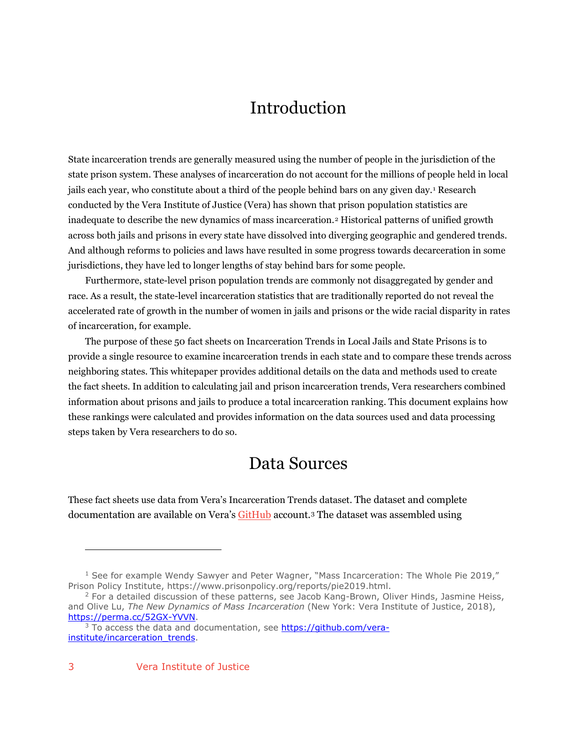## Introduction

State incarceration trends are generally measured using the number of people in the jurisdiction of the state prison system. These analyses of incarceration do not account for the millions of people held in local jails each year, who constitute about a third of the people behind bars on any given day.[1](#page-2-0) Research conducted by the Vera Institute of Justice (Vera) has shown that prison population statistics are inadequate to describe the new dynamics of mass incarceration.[2](#page-2-1) Historical patterns of unified growth across both jails and prisons in every state have dissolved into diverging geographic and gendered trends. And although reforms to policies and laws have resulted in some progress towards decarceration in some jurisdictions, they have led to longer lengths of stay behind bars for some people.

Furthermore, state-level prison population trends are commonly not disaggregated by gender and race. As a result, the state-level incarceration statistics that are traditionally reported do not reveal the accelerated rate of growth in the number of women in jails and prisons or the wide racial disparity in rates of incarceration, for example.

The purpose of these 50 fact sheets on Incarceration Trends in Local Jails and State Prisons is to provide a single resource to examine incarceration trends in each state and to compare these trends across neighboring states. This whitepaper provides additional details on the data and methods used to create the fact sheets. In addition to calculating jail and prison incarceration trends, Vera researchers combined information about prisons and jails to produce a total incarceration ranking. This document explains how these rankings were calculated and provides information on the data sources used and data processing steps taken by Vera researchers to do so.

### Data Sources

These fact sheets use data from Vera's Incarceration Trends dataset. The dataset and complete documentation are available on Vera's [GitHub](https://github.com/vera-institute/incarceration_trends) account[.3](#page-2-2) The dataset was assembled using

 $\overline{a}$ 

<span id="page-2-0"></span> $1$  See for example Wendy Sawyer and Peter Wagner, "Mass Incarceration: The Whole Pie 2019," Prison Policy Institute, https://www.prisonpolicy.org/reports/pie2019.html.

<span id="page-2-1"></span><sup>&</sup>lt;sup>2</sup> For a detailed discussion of these patterns, see Jacob Kang-Brown, Oliver Hinds, Jasmine Heiss, and Olive Lu, *The New Dynamics of Mass Incarceration* (New York: Vera Institute of Justice, 2018), [https://perma.cc/52GX-YVVN.](https://perma.cc/52GX-YVVN)

<span id="page-2-2"></span><sup>&</sup>lt;sup>3</sup> To access the data and documentation, see [https://github.com/vera](https://github.com/vera-institute/incarceration_trends)[institute/incarceration\\_trends.](https://github.com/vera-institute/incarceration_trends)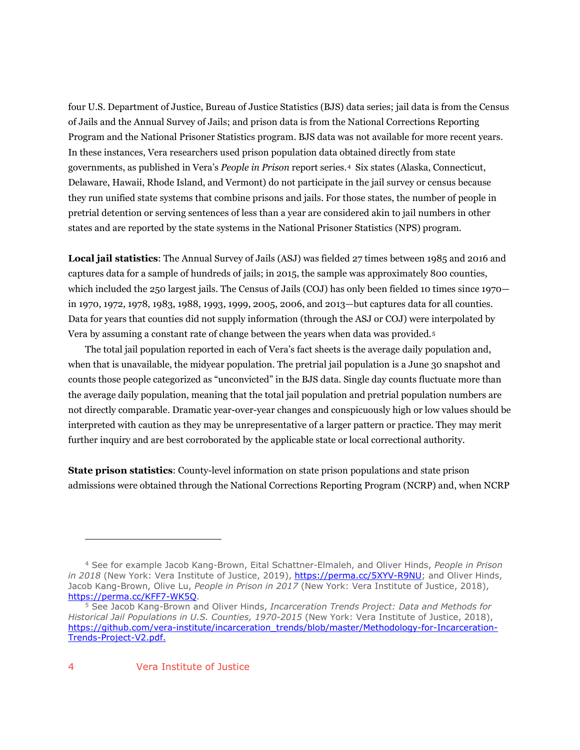four U.S. Department of Justice, Bureau of Justice Statistics (BJS) data series; jail data is from the Census of Jails and the Annual Survey of Jails; and prison data is from the National Corrections Reporting Program and the National Prisoner Statistics program. BJS data was not available for more recent years. In these instances, Vera researchers used prison population data obtained directly from state governments, as published in Vera's *People in Prison* report series.[4](#page-3-0) Six states (Alaska, Connecticut, Delaware, Hawaii, Rhode Island, and Vermont) do not participate in the jail survey or census because they run unified state systems that combine prisons and jails. For those states, the number of people in pretrial detention or serving sentences of less than a year are considered akin to jail numbers in other states and are reported by the state systems in the National Prisoner Statistics (NPS) program.

**Local jail statistics**: The Annual Survey of Jails (ASJ) was fielded 27 times between 1985 and 2016 and captures data for a sample of hundreds of jails; in 2015, the sample was approximately 800 counties, which included the 250 largest jails. The Census of Jails (COJ) has only been fielded 10 times since 1970 in 1970, 1972, 1978, 1983, 1988, 1993, 1999, 2005, 2006, and 2013—but captures data for all counties. Data for years that counties did not supply information (through the ASJ or COJ) were interpolated by Vera by assuming a constant rate of change between the years when data was provided.[5](#page-3-1)

The total jail population reported in each of Vera's fact sheets is the average daily population and, when that is unavailable, the midyear population. The pretrial jail population is a June 30 snapshot and counts those people categorized as "unconvicted" in the BJS data. Single day counts fluctuate more than the average daily population, meaning that the total jail population and pretrial population numbers are not directly comparable. Dramatic year-over-year changes and conspicuously high or low values should be interpreted with caution as they may be unrepresentative of a larger pattern or practice. They may merit further inquiry and are best corroborated by the applicable state or local correctional authority.

**State prison statistics**: County-level information on state prison populations and state prison admissions were obtained through the National Corrections Reporting Program (NCRP) and, when NCRP

1

<span id="page-3-0"></span><sup>4</sup> See for example Jacob Kang-Brown, Eital Schattner-Elmaleh, and Oliver Hinds, *People in Prison*  in 2018 (New York: Vera Institute of Justice, 2019), [https://perma.cc/5XYV-R9NU;](https://perma.cc/5XYV-R9NU) and Oliver Hinds, Jacob Kang-Brown, Olive Lu, *People in Prison in 2017* (New York: Vera Institute of Justice, 2018), [https://perma.cc/KFF7-WK5Q.](https://perma.cc/KFF7-WK5Q)

<span id="page-3-1"></span><sup>5</sup> See Jacob Kang-Brown and Oliver Hinds, *Incarceration Trends Project: Data and Methods for Historical Jail Populations in U.S. Counties, 1970-2015* (New York: Vera Institute of Justice, 2018), [https://github.com/vera-institute/incarceration\\_trends/blob/master/Methodology-for-Incarceration-](https://github.com/vera-institute/incarceration_trends/blob/master/Methodology-for-Incarceration-Trends-Project-V2.pdf)[Trends-Project-V2.pdf.](https://github.com/vera-institute/incarceration_trends/blob/master/Methodology-for-Incarceration-Trends-Project-V2.pdf)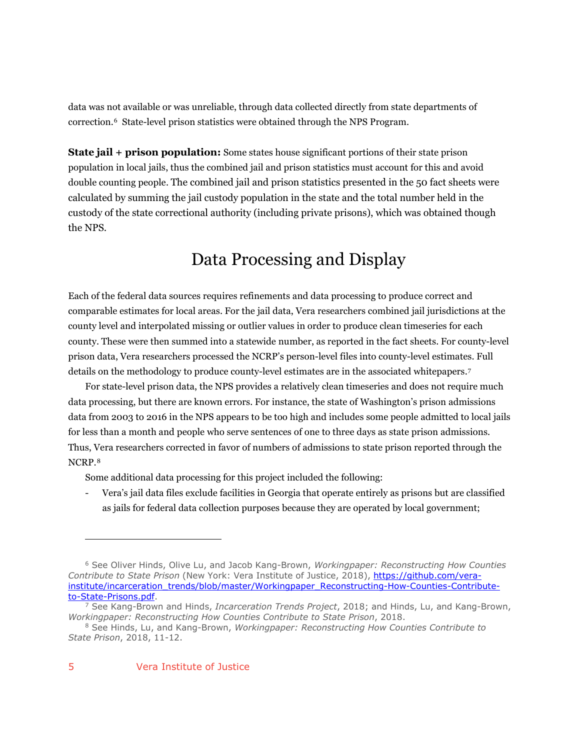data was not available or was unreliable, through data collected directly from state departments of correction.[6](#page-4-0) State-level prison statistics were obtained through the NPS Program.

**State jail + prison population:** Some states house significant portions of their state prison population in local jails, thus the combined jail and prison statistics must account for this and avoid double counting people. The combined jail and prison statistics presented in the 50 fact sheets were calculated by summing the jail custody population in the state and the total number held in the custody of the state correctional authority (including private prisons), which was obtained though the NPS.

# Data Processing and Display

Each of the federal data sources requires refinements and data processing to produce correct and comparable estimates for local areas. For the jail data, Vera researchers combined jail jurisdictions at the county level and interpolated missing or outlier values in order to produce clean timeseries for each county. These were then summed into a statewide number, as reported in the fact sheets. For county-level prison data, Vera researchers processed the NCRP's person-level files into county-level estimates. Full details on the methodology to produce county-level estimates are in the associated whitepapers.[7](#page-4-1)

For state-level prison data, the NPS provides a relatively clean timeseries and does not require much data processing, but there are known errors. For instance, the state of Washington's prison admissions data from 2003 to 2016 in the NPS appears to be too high and includes some people admitted to local jails for less than a month and people who serve sentences of one to three days as state prison admissions. Thus, Vera researchers corrected in favor of numbers of admissions to state prison reported through the NCRP.[8](#page-4-2)

Some additional data processing for this project included the following:

- Vera's jail data files exclude facilities in Georgia that operate entirely as prisons but are classified as jails for federal data collection purposes because they are operated by local government;

 $\overline{a}$ 

<span id="page-4-0"></span><sup>6</sup> See Oliver Hinds, Olive Lu, and Jacob Kang-Brown, *Workingpaper: Reconstructing How Counties Contribute to State Prison* (New York: Vera Institute of Justice, 2018), [https://github.com/vera](https://github.com/vera-institute/incarceration_trends/blob/master/Workingpaper_Reconstructing-How-Counties-Contribute-to-State-Prisons.pdf)[institute/incarceration\\_trends/blob/master/Workingpaper\\_Reconstructing-How-Counties-Contribute](https://github.com/vera-institute/incarceration_trends/blob/master/Workingpaper_Reconstructing-How-Counties-Contribute-to-State-Prisons.pdf)[to-State-Prisons.pdf.](https://github.com/vera-institute/incarceration_trends/blob/master/Workingpaper_Reconstructing-How-Counties-Contribute-to-State-Prisons.pdf)

<span id="page-4-1"></span><sup>7</sup> See Kang-Brown and Hinds, *Incarceration Trends Project*, 2018; and Hinds, Lu, and Kang-Brown, *Workingpaper: Reconstructing How Counties Contribute to State Prison*, 2018.

<span id="page-4-2"></span><sup>8</sup> See Hinds, Lu, and Kang-Brown, *Workingpaper: Reconstructing How Counties Contribute to State Prison*, 2018, 11-12.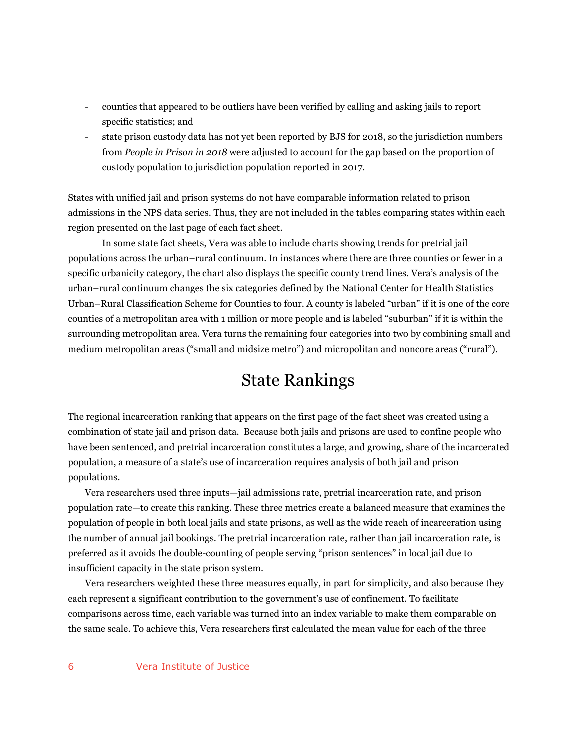- counties that appeared to be outliers have been verified by calling and asking jails to report specific statistics; and
- state prison custody data has not yet been reported by BJS for 2018, so the jurisdiction numbers from *People in Prison in 2018* were adjusted to account for the gap based on the proportion of custody population to jurisdiction population reported in 2017.

States with unified jail and prison systems do not have comparable information related to prison admissions in the NPS data series. Thus, they are not included in the tables comparing states within each region presented on the last page of each fact sheet.

In some state fact sheets, Vera was able to include charts showing trends for pretrial jail populations across the urban–rural continuum. In instances where there are three counties or fewer in a specific urbanicity category, the chart also displays the specific county trend lines. Vera's analysis of the urban–rural continuum changes the six categories defined by the National Center for Health Statistics Urban–Rural Classification Scheme for Counties to four. A county is labeled "urban" if it is one of the core counties of a metropolitan area with 1 million or more people and is labeled "suburban" if it is within the surrounding metropolitan area. Vera turns the remaining four categories into two by combining small and medium metropolitan areas ("small and midsize metro") and micropolitan and noncore areas ("rural").

### State Rankings

The regional incarceration ranking that appears on the first page of the fact sheet was created using a combination of state jail and prison data. Because both jails and prisons are used to confine people who have been sentenced, and pretrial incarceration constitutes a large, and growing, share of the incarcerated population, a measure of a state's use of incarceration requires analysis of both jail and prison populations.

Vera researchers used three inputs—jail admissions rate, pretrial incarceration rate, and prison population rate—to create this ranking. These three metrics create a balanced measure that examines the population of people in both local jails and state prisons, as well as the wide reach of incarceration using the number of annual jail bookings. The pretrial incarceration rate, rather than jail incarceration rate, is preferred as it avoids the double-counting of people serving "prison sentences" in local jail due to insufficient capacity in the state prison system.

Vera researchers weighted these three measures equally, in part for simplicity, and also because they each represent a significant contribution to the government's use of confinement. To facilitate comparisons across time, each variable was turned into an index variable to make them comparable on the same scale. To achieve this, Vera researchers first calculated the mean value for each of the three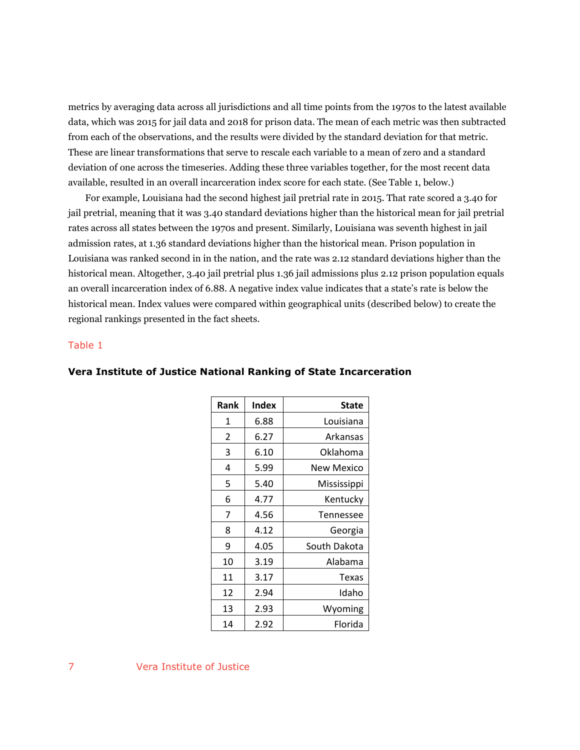metrics by averaging data across all jurisdictions and all time points from the 1970s to the latest available data, which was 2015 for jail data and 2018 for prison data. The mean of each metric was then subtracted from each of the observations, and the results were divided by the standard deviation for that metric. These are linear transformations that serve to rescale each variable to a mean of zero and a standard deviation of one across the timeseries. Adding these three variables together, for the most recent data available, resulted in an overall incarceration index score for each state. (See Table 1, below.)

For example, Louisiana had the second highest jail pretrial rate in 2015. That rate scored a 3.40 for jail pretrial, meaning that it was 3.40 standard deviations higher than the historical mean for jail pretrial rates across all states between the 1970s and present. Similarly, Louisiana was seventh highest in jail admission rates, at 1.36 standard deviations higher than the historical mean. Prison population in Louisiana was ranked second in in the nation, and the rate was 2.12 standard deviations higher than the historical mean. Altogether, 3.40 jail pretrial plus 1.36 jail admissions plus 2.12 prison population equals an overall incarceration index of 6.88. A negative index value indicates that a state's rate is below the historical mean. Index values were compared within geographical units (described below) to create the regional rankings presented in the fact sheets.

#### Table 1

| Rank | <b>Index</b> | <b>State</b> |
|------|--------------|--------------|
| 1    | 6.88         | Louisiana    |
| 2    | 6.27         | Arkansas     |
| 3    | 6.10         | Oklahoma     |
| 4    | 5.99         | New Mexico   |
| 5    | 5.40         | Mississippi  |
| 6    | 4.77         | Kentucky     |
| 7    | 4.56         | Tennessee    |
| 8    | 4.12         | Georgia      |
| 9    | 4.05         | South Dakota |
| 10   | 3.19         | Alabama      |
| 11   | 3.17         | <b>Texas</b> |
| 12   | 2.94         | Idaho        |
| 13   | 2.93         | Wyoming      |
| 14   | 2.92         | Florida      |

#### **Vera Institute of Justice National Ranking of State Incarceration**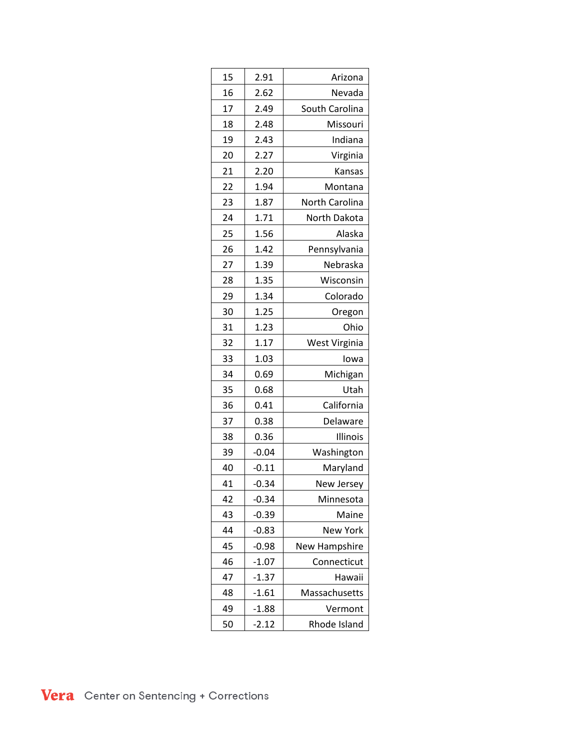| 15<br>2.91<br>Arizona<br>16<br>2.62<br>Nevada<br>17<br>2.49<br>South Carolina<br>18<br>2.48<br>Missouri<br>19<br>2.43<br>Indiana<br>20<br>2.27<br>Virginia<br>21<br>2.20<br>Kansas<br>22<br>1.94<br>Montana<br>23<br>1.87<br>North Carolina<br>24<br>1.71<br>North Dakota<br>25<br>1.56<br>Alaska<br>26<br>1.42<br>Pennsylvania<br>1.39<br>27<br>Nebraska<br>28<br>1.35<br>Wisconsin<br>29<br>1.34<br>Colorado<br>30<br>1.25<br>Oregon<br>31<br>1.23<br>Ohio<br>32<br>1.17<br>West Virginia<br>33<br>1.03<br>lowa<br>34<br>Michigan<br>0.69<br>35<br>0.68<br>Utah<br>36<br>0.41<br>California<br>37<br>0.38<br>Delaware<br>38<br>0.36<br>Illinois<br>39<br>$-0.04$<br>Washington<br>40<br>$-0.11$<br>Maryland<br>$-0.34$<br>41<br>New Jersey<br>42<br>$-0.34$<br>Minnesota<br>43<br>$-0.39$<br>Maine<br>$-0.83$<br>44<br>New York<br><b>New Hampshire</b><br>45<br>$-0.98$<br>$-1.07$<br>46<br>Connecticut<br>47<br>$-1.37$<br>Hawaii<br>48<br>$-1.61$<br>Massachusetts<br>49<br>$-1.88$<br>Vermont<br>$-2.12$<br>50<br>Rhode Island |  |  |
|--------------------------------------------------------------------------------------------------------------------------------------------------------------------------------------------------------------------------------------------------------------------------------------------------------------------------------------------------------------------------------------------------------------------------------------------------------------------------------------------------------------------------------------------------------------------------------------------------------------------------------------------------------------------------------------------------------------------------------------------------------------------------------------------------------------------------------------------------------------------------------------------------------------------------------------------------------------------------------------------------------------------------------------|--|--|
|                                                                                                                                                                                                                                                                                                                                                                                                                                                                                                                                                                                                                                                                                                                                                                                                                                                                                                                                                                                                                                      |  |  |
|                                                                                                                                                                                                                                                                                                                                                                                                                                                                                                                                                                                                                                                                                                                                                                                                                                                                                                                                                                                                                                      |  |  |
|                                                                                                                                                                                                                                                                                                                                                                                                                                                                                                                                                                                                                                                                                                                                                                                                                                                                                                                                                                                                                                      |  |  |
|                                                                                                                                                                                                                                                                                                                                                                                                                                                                                                                                                                                                                                                                                                                                                                                                                                                                                                                                                                                                                                      |  |  |
|                                                                                                                                                                                                                                                                                                                                                                                                                                                                                                                                                                                                                                                                                                                                                                                                                                                                                                                                                                                                                                      |  |  |
|                                                                                                                                                                                                                                                                                                                                                                                                                                                                                                                                                                                                                                                                                                                                                                                                                                                                                                                                                                                                                                      |  |  |
|                                                                                                                                                                                                                                                                                                                                                                                                                                                                                                                                                                                                                                                                                                                                                                                                                                                                                                                                                                                                                                      |  |  |
|                                                                                                                                                                                                                                                                                                                                                                                                                                                                                                                                                                                                                                                                                                                                                                                                                                                                                                                                                                                                                                      |  |  |
|                                                                                                                                                                                                                                                                                                                                                                                                                                                                                                                                                                                                                                                                                                                                                                                                                                                                                                                                                                                                                                      |  |  |
|                                                                                                                                                                                                                                                                                                                                                                                                                                                                                                                                                                                                                                                                                                                                                                                                                                                                                                                                                                                                                                      |  |  |
|                                                                                                                                                                                                                                                                                                                                                                                                                                                                                                                                                                                                                                                                                                                                                                                                                                                                                                                                                                                                                                      |  |  |
|                                                                                                                                                                                                                                                                                                                                                                                                                                                                                                                                                                                                                                                                                                                                                                                                                                                                                                                                                                                                                                      |  |  |
|                                                                                                                                                                                                                                                                                                                                                                                                                                                                                                                                                                                                                                                                                                                                                                                                                                                                                                                                                                                                                                      |  |  |
|                                                                                                                                                                                                                                                                                                                                                                                                                                                                                                                                                                                                                                                                                                                                                                                                                                                                                                                                                                                                                                      |  |  |
|                                                                                                                                                                                                                                                                                                                                                                                                                                                                                                                                                                                                                                                                                                                                                                                                                                                                                                                                                                                                                                      |  |  |
|                                                                                                                                                                                                                                                                                                                                                                                                                                                                                                                                                                                                                                                                                                                                                                                                                                                                                                                                                                                                                                      |  |  |
|                                                                                                                                                                                                                                                                                                                                                                                                                                                                                                                                                                                                                                                                                                                                                                                                                                                                                                                                                                                                                                      |  |  |
|                                                                                                                                                                                                                                                                                                                                                                                                                                                                                                                                                                                                                                                                                                                                                                                                                                                                                                                                                                                                                                      |  |  |
|                                                                                                                                                                                                                                                                                                                                                                                                                                                                                                                                                                                                                                                                                                                                                                                                                                                                                                                                                                                                                                      |  |  |
|                                                                                                                                                                                                                                                                                                                                                                                                                                                                                                                                                                                                                                                                                                                                                                                                                                                                                                                                                                                                                                      |  |  |
|                                                                                                                                                                                                                                                                                                                                                                                                                                                                                                                                                                                                                                                                                                                                                                                                                                                                                                                                                                                                                                      |  |  |
|                                                                                                                                                                                                                                                                                                                                                                                                                                                                                                                                                                                                                                                                                                                                                                                                                                                                                                                                                                                                                                      |  |  |
|                                                                                                                                                                                                                                                                                                                                                                                                                                                                                                                                                                                                                                                                                                                                                                                                                                                                                                                                                                                                                                      |  |  |
|                                                                                                                                                                                                                                                                                                                                                                                                                                                                                                                                                                                                                                                                                                                                                                                                                                                                                                                                                                                                                                      |  |  |
|                                                                                                                                                                                                                                                                                                                                                                                                                                                                                                                                                                                                                                                                                                                                                                                                                                                                                                                                                                                                                                      |  |  |
|                                                                                                                                                                                                                                                                                                                                                                                                                                                                                                                                                                                                                                                                                                                                                                                                                                                                                                                                                                                                                                      |  |  |
|                                                                                                                                                                                                                                                                                                                                                                                                                                                                                                                                                                                                                                                                                                                                                                                                                                                                                                                                                                                                                                      |  |  |
|                                                                                                                                                                                                                                                                                                                                                                                                                                                                                                                                                                                                                                                                                                                                                                                                                                                                                                                                                                                                                                      |  |  |
|                                                                                                                                                                                                                                                                                                                                                                                                                                                                                                                                                                                                                                                                                                                                                                                                                                                                                                                                                                                                                                      |  |  |
|                                                                                                                                                                                                                                                                                                                                                                                                                                                                                                                                                                                                                                                                                                                                                                                                                                                                                                                                                                                                                                      |  |  |
|                                                                                                                                                                                                                                                                                                                                                                                                                                                                                                                                                                                                                                                                                                                                                                                                                                                                                                                                                                                                                                      |  |  |
|                                                                                                                                                                                                                                                                                                                                                                                                                                                                                                                                                                                                                                                                                                                                                                                                                                                                                                                                                                                                                                      |  |  |
|                                                                                                                                                                                                                                                                                                                                                                                                                                                                                                                                                                                                                                                                                                                                                                                                                                                                                                                                                                                                                                      |  |  |
|                                                                                                                                                                                                                                                                                                                                                                                                                                                                                                                                                                                                                                                                                                                                                                                                                                                                                                                                                                                                                                      |  |  |
|                                                                                                                                                                                                                                                                                                                                                                                                                                                                                                                                                                                                                                                                                                                                                                                                                                                                                                                                                                                                                                      |  |  |
|                                                                                                                                                                                                                                                                                                                                                                                                                                                                                                                                                                                                                                                                                                                                                                                                                                                                                                                                                                                                                                      |  |  |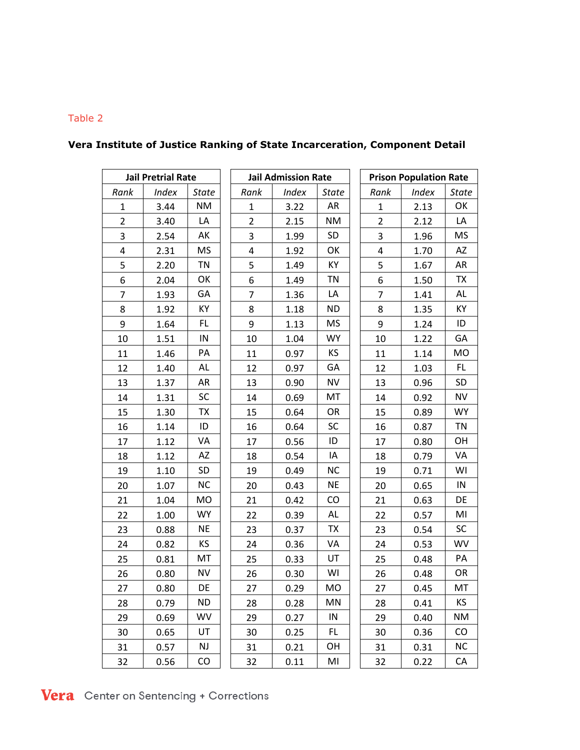#### Table 2

| <b>Jail Pretrial Rate</b> |              | <b>Jail Admission Rate</b> |                |              | <b>Prison Population Rate</b> |                         |              |              |
|---------------------------|--------------|----------------------------|----------------|--------------|-------------------------------|-------------------------|--------------|--------------|
| Rank                      | <b>Index</b> | <b>State</b>               | Rank           | <b>Index</b> | <b>State</b>                  | Rank                    | <b>Index</b> | <b>State</b> |
| $\mathbf{1}$              | 3.44         | <b>NM</b>                  | $\mathbf{1}$   | 3.22         | AR                            | $\mathbf{1}$            | 2.13         | OK           |
| $\overline{2}$            | 3.40         | LA                         | $\overline{2}$ | 2.15         | <b>NM</b>                     | $\overline{2}$          | 2.12         | LA           |
| 3                         | 2.54         | AK                         | 3              | 1.99         | SD                            | $\mathsf{3}$            | 1.96         | <b>MS</b>    |
| $\overline{4}$            | 2.31         | <b>MS</b>                  | 4              | 1.92         | OK                            | $\overline{\mathbf{4}}$ | 1.70         | AZ           |
| 5                         | 2.20         | <b>TN</b>                  | 5              | 1.49         | КY                            | 5                       | 1.67         | AR           |
| 6                         | 2.04         | OK                         | 6              | 1.49         | <b>TN</b>                     | 6                       | 1.50         | TX           |
| $\overline{7}$            | 1.93         | GA                         | $\overline{7}$ | 1.36         | LA                            | $\overline{7}$          | 1.41         | AL           |
| 8                         | 1.92         | КY                         | 8              | 1.18         | <b>ND</b>                     | 8                       | 1.35         | KY           |
| 9                         | 1.64         | FL                         | 9              | 1.13         | <b>MS</b>                     | 9                       | 1.24         | ID           |
| 10                        | 1.51         | IN                         | 10             | 1.04         | <b>WY</b>                     | 10                      | 1.22         | GA           |
| 11                        | 1.46         | PA                         | 11             | 0.97         | KS.                           | 11                      | 1.14         | MO           |
| 12                        | 1.40         | AL                         | 12             | 0.97         | GA                            | 12                      | 1.03         | FL.          |
| 13                        | 1.37         | AR                         | 13             | 0.90         | <b>NV</b>                     | 13                      | 0.96         | SD           |
| 14                        | 1.31         | <b>SC</b>                  | 14             | 0.69         | MT                            | 14                      | 0.92         | <b>NV</b>    |
| 15                        | 1.30         | <b>TX</b>                  | 15             | 0.64         | OR                            | 15                      | 0.89         | <b>WY</b>    |
| 16                        | 1.14         | ID                         | 16             | 0.64         | <b>SC</b>                     | 16                      | 0.87         | <b>TN</b>    |
| 17                        | 1.12         | VA                         | 17             | 0.56         | ID                            | 17                      | 0.80         | OH           |
| 18                        | 1.12         | AZ                         | 18             | 0.54         | IA                            | 18                      | 0.79         | VA           |
| 19                        | 1.10         | SD                         | 19             | 0.49         | <b>NC</b>                     | 19                      | 0.71         | WI           |
| 20                        | 1.07         | NC                         | 20             | 0.43         | <b>NE</b>                     | 20                      | 0.65         | ${\sf IN}$   |
| 21                        | 1.04         | MO                         | 21             | 0.42         | CO                            | 21                      | 0.63         | DE           |
| 22                        | 1.00         | <b>WY</b>                  | 22             | 0.39         | AL                            | 22                      | 0.57         | MI           |
| 23                        | 0.88         | <b>NE</b>                  | 23             | 0.37         | <b>TX</b>                     | 23                      | 0.54         | SC           |
| 24                        | 0.82         | ΚS                         | 24             | 0.36         | VA                            | 24                      | 0.53         | WV           |
| 25                        | 0.81         | MT                         | 25             | 0.33         | UT                            | 25                      | 0.48         | PA           |
| 26                        | 0.80         | <b>NV</b>                  | 26             | 0.30         | WI                            | 26                      | 0.48         | OR           |
| 27                        | 0.80         | DE                         | 27             | 0.29         | MO                            | 27                      | 0.45         | MT           |
| 28                        | 0.79         | <b>ND</b>                  | 28             | 0.28         | MN                            | 28                      | 0.41         | <b>KS</b>    |
| 29                        | 0.69         | WV                         | 29             | 0.27         | IN                            | 29                      | 0.40         | <b>NM</b>    |
| 30                        | 0.65         | UT                         | 30             | 0.25         | FL.                           | 30                      | 0.36         | CO           |
| 31                        | 0.57         | NJ                         | 31             | 0.21         | OH                            | 31                      | 0.31         | <b>NC</b>    |
| 32                        | 0.56         | CO                         | 32             | 0.11         | MI                            | 32                      | 0.22         | CA           |

### **Vera Institute of Justice Ranking of State Incarceration, Component Detail**

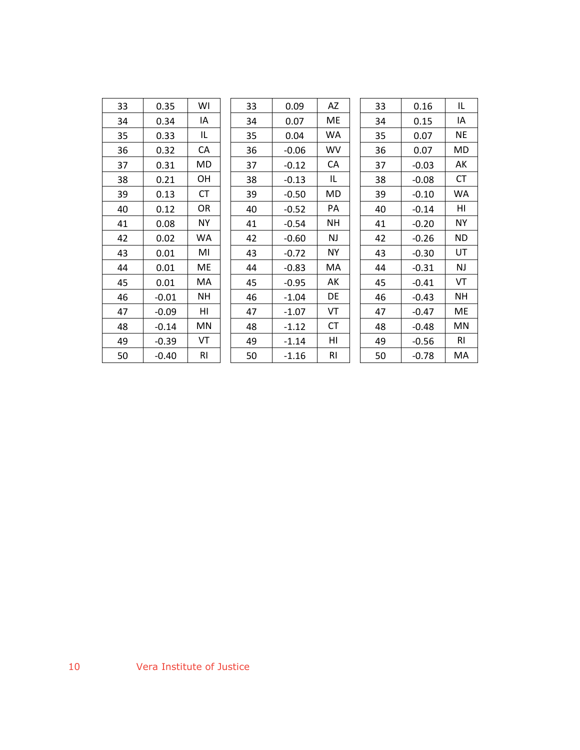| 33 | 0.35    | WI             | 33 | 0.09    | AZ        | 33 | 0.16    | IL             |
|----|---------|----------------|----|---------|-----------|----|---------|----------------|
| 34 | 0.34    | IA             | 34 | 0.07    | ME        | 34 | 0.15    | IA             |
| 35 | 0.33    | IL             | 35 | 0.04    | WA.       | 35 | 0.07    | <b>NE</b>      |
| 36 | 0.32    | CA             | 36 | $-0.06$ | <b>WV</b> | 36 | 0.07    | MD             |
| 37 | 0.31    | MD             | 37 | $-0.12$ | CA        | 37 | $-0.03$ | АK             |
| 38 | 0.21    | OН             | 38 | $-0.13$ | IL        | 38 | $-0.08$ | <b>CT</b>      |
| 39 | 0.13    | СT             | 39 | $-0.50$ | MD        | 39 | $-0.10$ | WA             |
| 40 | 0.12    | OR             | 40 | $-0.52$ | PA        | 40 | $-0.14$ | HI             |
| 41 | 0.08    | <b>NY</b>      | 41 | $-0.54$ | <b>NH</b> | 41 | $-0.20$ | <b>NY</b>      |
| 42 | 0.02    | WA.            | 42 | $-0.60$ | NJ        | 42 | $-0.26$ | <b>ND</b>      |
| 43 | 0.01    | MI             | 43 | $-0.72$ | <b>NY</b> | 43 | $-0.30$ | UT             |
| 44 | 0.01    | ME             | 44 | $-0.83$ | MA        | 44 | $-0.31$ | NJ             |
| 45 | 0.01    | MA.            | 45 | $-0.95$ | AK        | 45 | $-0.41$ | VT             |
| 46 | $-0.01$ | NΗ             | 46 | $-1.04$ | DE        | 46 | $-0.43$ | <b>NH</b>      |
| 47 | $-0.09$ | HI             | 47 | $-1.07$ | VT        | 47 | $-0.47$ | ME             |
| 48 | $-0.14$ | MN             | 48 | $-1.12$ | <b>CT</b> | 48 | $-0.48$ | MN             |
| 49 | $-0.39$ | VT             | 49 | $-1.14$ | ΗI        | 49 | $-0.56$ | R <sub>l</sub> |
| 50 | $-0.40$ | R <sub>l</sub> | 50 | $-1.16$ | RI        | 50 | $-0.78$ | MA             |
|    |         |                |    |         |           |    |         |                |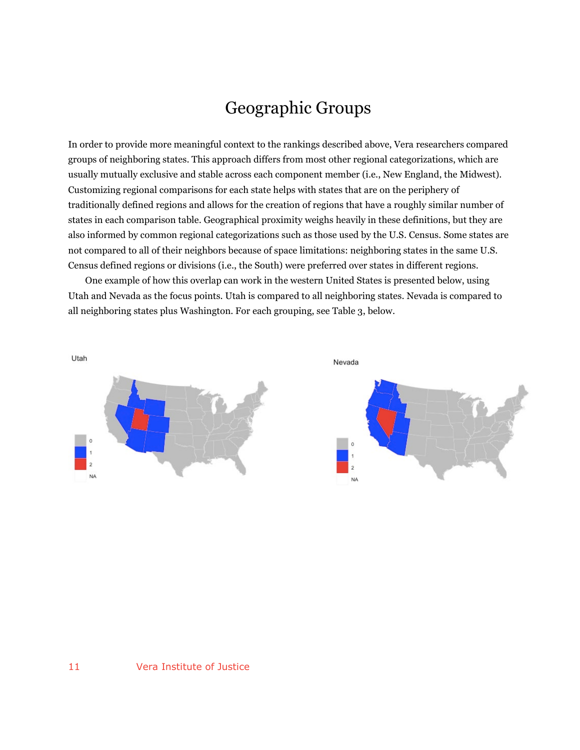## Geographic Groups

In order to provide more meaningful context to the rankings described above, Vera researchers compared groups of neighboring states. This approach differs from most other regional categorizations, which are usually mutually exclusive and stable across each component member (i.e., New England, the Midwest). Customizing regional comparisons for each state helps with states that are on the periphery of traditionally defined regions and allows for the creation of regions that have a roughly similar number of states in each comparison table. Geographical proximity weighs heavily in these definitions, but they are also informed by common regional categorizations such as those used by the U.S. Census. Some states are not compared to all of their neighbors because of space limitations: neighboring states in the same U.S. Census defined regions or divisions (i.e., the South) were preferred over states in different regions.

One example of how this overlap can work in the western United States is presented below, using Utah and Nevada as the focus points. Utah is compared to all neighboring states. Nevada is compared to all neighboring states plus Washington. For each grouping, see Table 3, below.

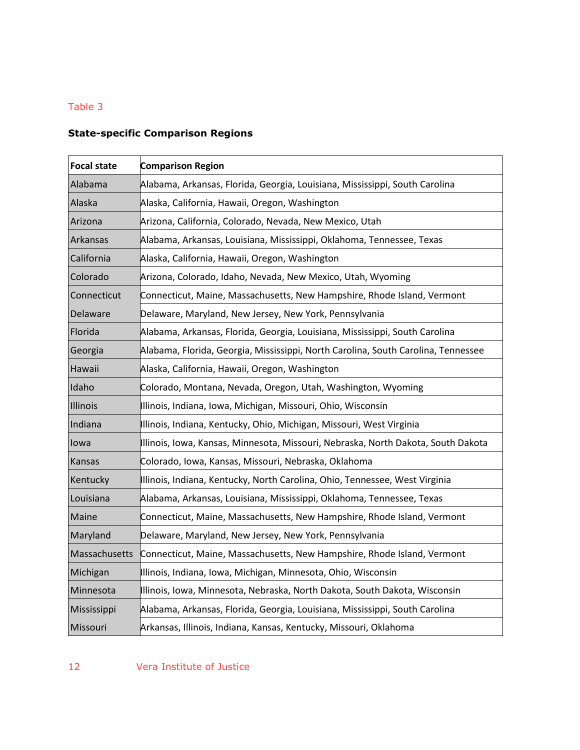### Table 3

### **State-specific Comparison Regions**

| <b>Focal state</b> | <b>Comparison Region</b>                                                          |
|--------------------|-----------------------------------------------------------------------------------|
| Alabama            | Alabama, Arkansas, Florida, Georgia, Louisiana, Mississippi, South Carolina       |
| Alaska             | Alaska, California, Hawaii, Oregon, Washington                                    |
| Arizona            | Arizona, California, Colorado, Nevada, New Mexico, Utah                           |
| Arkansas           | Alabama, Arkansas, Louisiana, Mississippi, Oklahoma, Tennessee, Texas             |
| California         | Alaska, California, Hawaii, Oregon, Washington                                    |
| Colorado           | Arizona, Colorado, Idaho, Nevada, New Mexico, Utah, Wyoming                       |
| Connecticut        | Connecticut, Maine, Massachusetts, New Hampshire, Rhode Island, Vermont           |
| Delaware           | Delaware, Maryland, New Jersey, New York, Pennsylvania                            |
| Florida            | Alabama, Arkansas, Florida, Georgia, Louisiana, Mississippi, South Carolina       |
| Georgia            | Alabama, Florida, Georgia, Mississippi, North Carolina, South Carolina, Tennessee |
| Hawaii             | Alaska, California, Hawaii, Oregon, Washington                                    |
| Idaho              | Colorado, Montana, Nevada, Oregon, Utah, Washington, Wyoming                      |
| Illinois           | Illinois, Indiana, Iowa, Michigan, Missouri, Ohio, Wisconsin                      |
| Indiana            | Illinois, Indiana, Kentucky, Ohio, Michigan, Missouri, West Virginia              |
| lowa               | IIIinois, Iowa, Kansas, Minnesota, Missouri, Nebraska, North Dakota, South Dakota |
| Kansas             | Colorado, Iowa, Kansas, Missouri, Nebraska, Oklahoma                              |
| Kentucky           | Illinois, Indiana, Kentucky, North Carolina, Ohio, Tennessee, West Virginia       |
| Louisiana          | Alabama, Arkansas, Louisiana, Mississippi, Oklahoma, Tennessee, Texas             |
| Maine              | Connecticut, Maine, Massachusetts, New Hampshire, Rhode Island, Vermont           |
| Maryland           | Delaware, Maryland, New Jersey, New York, Pennsylvania                            |
| Massachusetts      | Connecticut, Maine, Massachusetts, New Hampshire, Rhode Island, Vermont           |
| Michigan           | Illinois, Indiana, Iowa, Michigan, Minnesota, Ohio, Wisconsin                     |
| Minnesota          | Illinois, Iowa, Minnesota, Nebraska, North Dakota, South Dakota, Wisconsin        |
| Mississippi        | Alabama, Arkansas, Florida, Georgia, Louisiana, Mississippi, South Carolina       |
| Missouri           | Arkansas, Illinois, Indiana, Kansas, Kentucky, Missouri, Oklahoma                 |